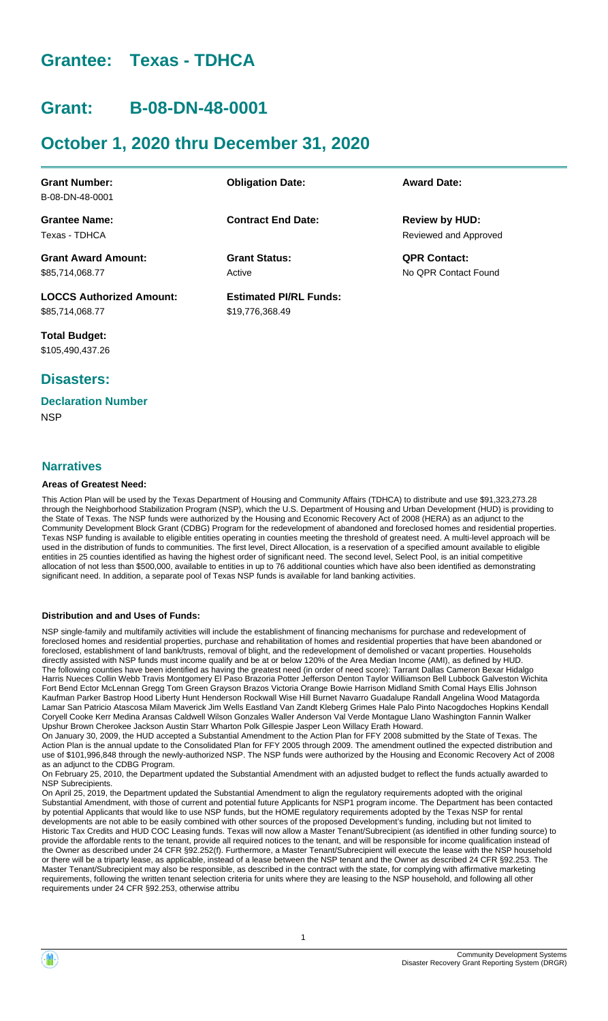# **Grantee: Texas - TDHCA**

# **Grant: B-08-DN-48-0001**

# **October 1, 2020 thru December 31, 2020**

| <b>Grant Number:</b>            | <b>Obligation Date:</b>       | <b>Award Date:</b>    |
|---------------------------------|-------------------------------|-----------------------|
| B-08-DN-48-0001                 |                               |                       |
| <b>Grantee Name:</b>            | <b>Contract End Date:</b>     | <b>Review by HUD:</b> |
| Texas - TDHCA                   |                               | Reviewed and Approved |
| <b>Grant Award Amount:</b>      | <b>Grant Status:</b>          | <b>QPR Contact:</b>   |
| \$85,714,068.77                 | Active                        | No OPR Contact Found  |
| <b>LOCCS Authorized Amount:</b> | <b>Estimated PI/RL Funds:</b> |                       |
| \$85,714,068.77                 | \$19,776,368.49               |                       |

**Total Budget:** \$105,490,437.26

# **Disasters:**

# **Declaration Number**

**NSP** 

#### **Narratives**

#### **Areas of Greatest Need:**

This Action Plan will be used by the Texas Department of Housing and Community Affairs (TDHCA) to distribute and use \$91,323,273.28 through the Neighborhood Stabilization Program (NSP), which the U.S. Department of Housing and Urban Development (HUD) is providing to the State of Texas. The NSP funds were authorized by the Housing and Economic Recovery Act of 2008 (HERA) as an adjunct to the Community Development Block Grant (CDBG) Program for the redevelopment of abandoned and foreclosed homes and residential properties. Texas NSP funding is available to eligible entities operating in counties meeting the threshold of greatest need. A multi-level approach will be used in the distribution of funds to communities. The first level, Direct Allocation, is a reservation of a specified amount available to eligible entities in 25 counties identified as having the highest order of significant need. The second level, Select Pool, is an initial competitive allocation of not less than \$500,000, available to entities in up to 76 additional counties which have also been identified as demonstrating significant need. In addition, a separate pool of Texas NSP funds is available for land banking activities.

#### **Distribution and and Uses of Funds:**

NSP single-family and multifamily activities will include the establishment of financing mechanisms for purchase and redevelopment of foreclosed homes and residential properties, purchase and rehabilitation of homes and residential properties that have been abandoned or foreclosed, establishment of land bank/trusts, removal of blight, and the redevelopment of demolished or vacant properties. Households directly assisted with NSP funds must income qualify and be at or below 120% of the Area Median Income (AMI), as defined by HUD. The following counties have been identified as having the greatest need (in order of need score): Tarrant Dallas Cameron Bexar Hidalgo Harris Nueces Collin Webb Travis Montgomery El Paso Brazoria Potter Jefferson Denton Taylor Williamson Bell Lubbock Galveston Wichita Fort Bend Ector McLennan Gregg Tom Green Grayson Brazos Victoria Orange Bowie Harrison Midland Smith Comal Hays Ellis Johnson Kaufman Parker Bastrop Hood Liberty Hunt Henderson Rockwall Wise Hill Burnet Navarro Guadalupe Randall Angelina Wood Matagorda Lamar San Patricio Atascosa Milam Maverick Jim Wells Eastland Van Zandt Kleberg Grimes Hale Palo Pinto Nacogdoches Hopkins Kendall Coryell Cooke Kerr Medina Aransas Caldwell Wilson Gonzales Waller Anderson Val Verde Montague Llano Washington Fannin Walker Upshur Brown Cherokee Jackson Austin Starr Wharton Polk Gillespie Jasper Leon Willacy Erath Howard.

On January 30, 2009, the HUD accepted a Substantial Amendment to the Action Plan for FFY 2008 submitted by the State of Texas. The Action Plan is the annual update to the Consolidated Plan for FFY 2005 through 2009. The amendment outlined the expected distribution and use of \$101,996,848 through the newly-authorized NSP. The NSP funds were authorized by the Housing and Economic Recovery Act of 2008 as an adjunct to the CDBG Program.

On February 25, 2010, the Department updated the Substantial Amendment with an adjusted budget to reflect the funds actually awarded to NSP Subrecipients.

On April 25, 2019, the Department updated the Substantial Amendment to align the regulatory requirements adopted with the original Substantial Amendment, with those of current and potential future Applicants for NSP1 program income. The Department has been contacted by potential Applicants that would like to use NSP funds, but the HOME regulatory requirements adopted by the Texas NSP for rental developments are not able to be easily combined with other sources of the proposed Development's funding, including but not limited to Historic Tax Credits and HUD COC Leasing funds. Texas will now allow a Master Tenant/Subrecipient (as identified in other funding source) to provide the affordable rents to the tenant, provide all required notices to the tenant, and will be responsible for income qualification instead of the Owner as described under 24 CFR §92.252(f). Furthermore, a Master Tenant/Subrecipient will execute the lease with the NSP household or there will be a triparty lease, as applicable, instead of a lease between the NSP tenant and the Owner as described 24 CFR §92.253. The Master Tenant/Subrecipient may also be responsible, as described in the contract with the state, for complying with affirmative marketing requirements, following the written tenant selection criteria for units where they are leasing to the NSP household, and following all other requirements under 24 CFR §92.253, otherwise attribu

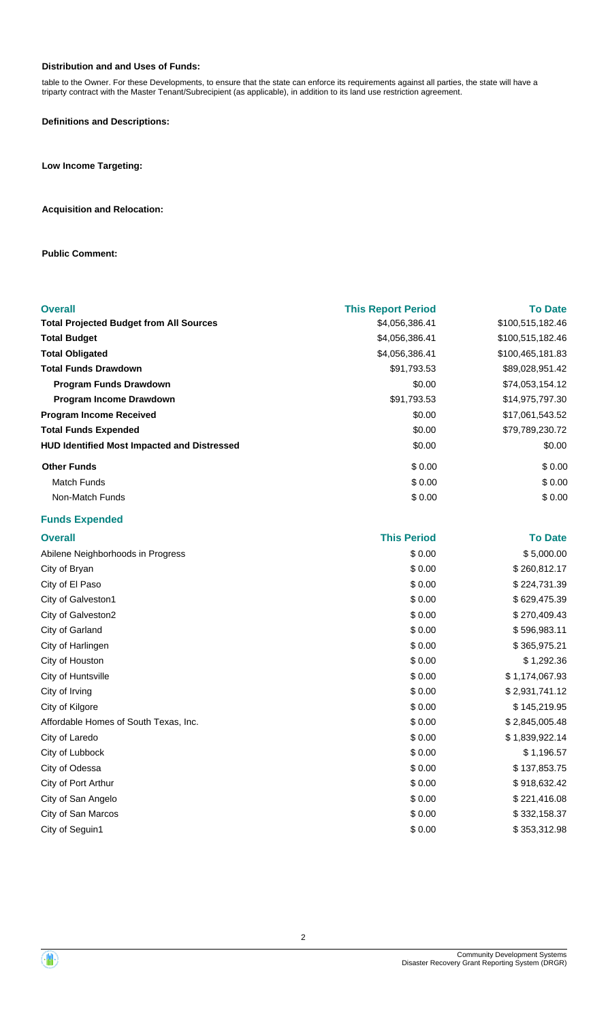#### **Distribution and and Uses of Funds:**

table to the Owner. For these Developments, to ensure that the state can enforce its requirements against all parties, the state will have a triparty contract with the Master Tenant/Subrecipient (as applicable), in addition to its land use restriction agreement.

**Definitions and Descriptions:**

**Low Income Targeting:**

#### **Acquisition and Relocation:**

**Public Comment:**

| <b>Overall</b>                                     | <b>This Report Period</b> | <b>To Date</b>   |
|----------------------------------------------------|---------------------------|------------------|
| <b>Total Projected Budget from All Sources</b>     | \$4,056,386.41            | \$100,515,182.46 |
| <b>Total Budget</b>                                | \$4,056,386.41            | \$100,515,182.46 |
| <b>Total Obligated</b>                             | \$4,056,386.41            | \$100,465,181.83 |
| <b>Total Funds Drawdown</b>                        | \$91,793.53               | \$89,028,951.42  |
| Program Funds Drawdown                             | \$0.00                    | \$74,053,154.12  |
| Program Income Drawdown                            | \$91,793.53               | \$14,975,797.30  |
| <b>Program Income Received</b>                     | \$0.00                    | \$17,061,543.52  |
| <b>Total Funds Expended</b>                        | \$0.00                    | \$79,789,230.72  |
| <b>HUD Identified Most Impacted and Distressed</b> | \$0.00                    | \$0.00           |
| <b>Other Funds</b>                                 | \$0.00                    | \$0.00           |
| <b>Match Funds</b>                                 | \$0.00                    | \$0.00           |
| Non-Match Funds                                    | \$0.00                    | \$0.00           |
| <b>Funds Expended</b>                              |                           |                  |
| <b>Overall</b>                                     | <b>This Period</b>        | <b>To Date</b>   |
| Abilene Neighborhoods in Progress                  | \$0.00                    | \$5,000.00       |
| City of Bryan                                      | \$0.00                    | \$260,812.17     |
| City of El Paso                                    | \$0.00                    | \$224,731.39     |
| City of Galveston1                                 | \$0.00                    | \$629,475.39     |
| City of Galveston2                                 | \$0.00                    | \$270,409.43     |
| City of Garland                                    | \$0.00                    | \$596,983.11     |
| City of Harlingen                                  | \$0.00                    | \$365,975.21     |
| City of Houston                                    | \$0.00                    | \$1,292.36       |
| City of Huntsville                                 | \$0.00                    | \$1,174,067.93   |
| City of Irving                                     | \$0.00                    | \$2,931,741.12   |
| City of Kilgore                                    | \$0.00                    | \$145,219.95     |
| Affordable Homes of South Texas, Inc.              | \$0.00                    | \$2,845,005.48   |
| City of Laredo                                     | \$0.00                    | \$1,839,922.14   |
| City of Lubbock                                    | \$0.00                    | \$1,196.57       |
| City of Odessa                                     | \$0.00                    | \$137,853.75     |
| City of Port Arthur                                | \$0.00                    | \$918,632.42     |
| City of San Angelo                                 | \$0.00                    | \$221,416.08     |
| City of San Marcos                                 | \$0.00                    | \$332,158.37     |

City of Seguin1 \$ 0.00 \$ 353,312.98

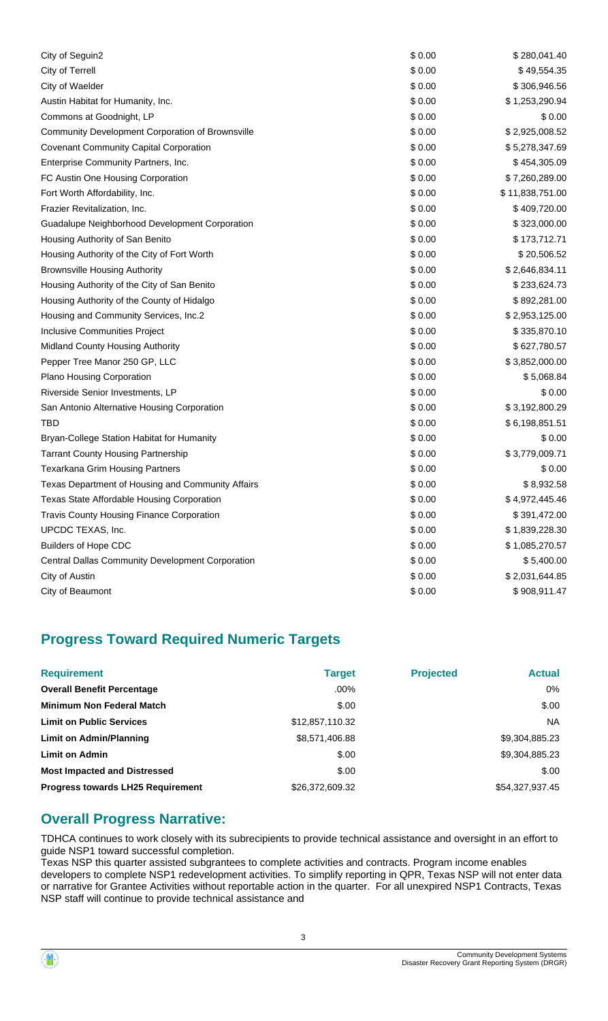| City of Seguin2                                         | \$0.00 | \$280,041.40    |
|---------------------------------------------------------|--------|-----------------|
| City of Terrell                                         | \$0.00 | \$49,554.35     |
| City of Waelder                                         | \$0.00 | \$306,946.56    |
| Austin Habitat for Humanity, Inc.                       | \$0.00 | \$1,253,290.94  |
| Commons at Goodnight, LP                                | \$0.00 | \$0.00          |
| Community Development Corporation of Brownsville        | \$0.00 | \$2,925,008.52  |
| <b>Covenant Community Capital Corporation</b>           | \$0.00 | \$5,278,347.69  |
| Enterprise Community Partners, Inc.                     | \$0.00 | \$454,305.09    |
| FC Austin One Housing Corporation                       | \$0.00 | \$7,260,289.00  |
| Fort Worth Affordability, Inc.                          | \$0.00 | \$11,838,751.00 |
| Frazier Revitalization, Inc.                            | \$0.00 | \$409,720.00    |
| Guadalupe Neighborhood Development Corporation          | \$0.00 | \$323,000.00    |
| Housing Authority of San Benito                         | \$0.00 | \$173,712.71    |
| Housing Authority of the City of Fort Worth             | \$0.00 | \$20,506.52     |
| <b>Brownsville Housing Authority</b>                    | \$0.00 | \$2,646,834.11  |
| Housing Authority of the City of San Benito             | \$0.00 | \$233,624.73    |
| Housing Authority of the County of Hidalgo              | \$0.00 | \$892,281.00    |
| Housing and Community Services, Inc.2                   | \$0.00 | \$2,953,125.00  |
| <b>Inclusive Communities Project</b>                    | \$0.00 | \$335,870.10    |
| Midland County Housing Authority                        | \$0.00 | \$627,780.57    |
| Pepper Tree Manor 250 GP, LLC                           | \$0.00 | \$3,852,000.00  |
| Plano Housing Corporation                               | \$0.00 | \$5,068.84      |
| Riverside Senior Investments, LP                        | \$0.00 | \$0.00          |
| San Antonio Alternative Housing Corporation             | \$0.00 | \$3,192,800.29  |
| <b>TBD</b>                                              | \$0.00 | \$6,198,851.51  |
| Bryan-College Station Habitat for Humanity              | \$0.00 | \$0.00          |
| <b>Tarrant County Housing Partnership</b>               | \$0.00 | \$3,779,009.71  |
| <b>Texarkana Grim Housing Partners</b>                  | \$0.00 | \$0.00          |
| Texas Department of Housing and Community Affairs       | \$0.00 | \$8,932.58      |
| Texas State Affordable Housing Corporation              | \$0.00 | \$4,972,445.46  |
| <b>Travis County Housing Finance Corporation</b>        | \$0.00 | \$391,472.00    |
| UPCDC TEXAS, Inc.                                       | \$0.00 | \$1,839,228.30  |
| <b>Builders of Hope CDC</b>                             | \$0.00 | \$1,085,270.57  |
| <b>Central Dallas Community Development Corporation</b> | \$0.00 | \$5,400.00      |
| City of Austin                                          | \$0.00 | \$2,031,644.85  |
| City of Beaumont                                        | \$0.00 | \$908,911.47    |
|                                                         |        |                 |

# **Progress Toward Required Numeric Targets**

| <b>Requirement</b>                       | <b>Target</b>   | <b>Projected</b> | <b>Actual</b>   |
|------------------------------------------|-----------------|------------------|-----------------|
| <b>Overall Benefit Percentage</b>        | $.00\%$         |                  | 0%              |
| <b>Minimum Non Federal Match</b>         | \$.00           |                  | \$.00           |
| <b>Limit on Public Services</b>          | \$12,857,110.32 |                  | NA.             |
| Limit on Admin/Planning                  | \$8,571,406.88  |                  | \$9,304,885.23  |
| <b>Limit on Admin</b>                    | \$.00           |                  | \$9,304,885.23  |
| <b>Most Impacted and Distressed</b>      | \$.00           |                  | \$.00           |
| <b>Progress towards LH25 Requirement</b> | \$26,372,609.32 |                  | \$54,327,937.45 |

# **Overall Progress Narrative:**

TDHCA continues to work closely with its subrecipients to provide technical assistance and oversight in an effort to guide NSP1 toward successful completion.

Texas NSP this quarter assisted subgrantees to complete activities and contracts. Program income enables developers to complete NSP1 redevelopment activities. To simplify reporting in QPR, Texas NSP will not enter data or narrative for Grantee Activities without reportable action in the quarter. For all unexpired NSP1 Contracts, Texas NSP staff will continue to provide technical assistance and

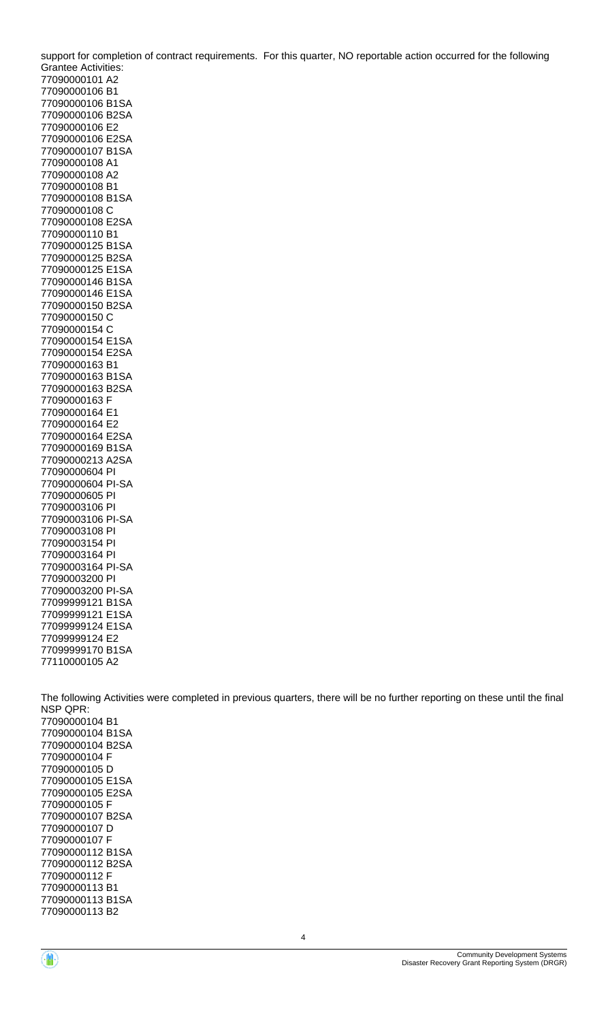support for completion of contract requirements. For this quarter, NO reportable action occurred for the following Grantee Activities: 77090000101 A2 77090000106 B1 77090000106 B1SA 77090000106 B2SA 77090000106 E2 77090000106 E2SA 77090000107 B1SA 77090000108 A1 77090000108 A2 77090000108 B1 77090000108 B1SA 77090000108 C 77090000108 E2SA 77090000110 B1 77090000125 B1SA 77090000125 B2SA 77090000125 E1SA 77090000146 B1SA 77090000146 E1SA 77090000150 B2SA 77090000150 C 77090000154 C 77090000154 E1SA 77090000154 E2SA 77090000163 B1 77090000163 B1SA 77090000163 B2SA 77090000163 F 77090000164 E1 77090000164 E2 77090000164 E2SA 77090000169 B1SA 77090000213 A2SA 77090000604 PI 77090000604 PI-SA 77090000605 PI 77090003106 PI 77090003106 PI-SA 77090003108 PI 77090003154 PI 77090003164 PI 77090003164 PI-SA 77090003200 PI 77090003200 PI-SA 77099999121 B1SA 77099999121 E1SA 77099999124 E1SA 77099999124 E2 77099999170 B1SA 77110000105 A2 The following Activities were completed in previous quarters, there will be no further reporting on these until the final NSP QPR: 77090000104 B1 77090000104 B1SA 77090000104 B2SA 77090000104 F 77090000105 D 77090000105 E1SA 77090000105 E2SA

4

77090000105 F 77090000107 B2SA 77090000107 D 77090000107 F 77090000112 B1SA 77090000112 B2SA 77090000112 F 77090000113 B1

77090000113 B2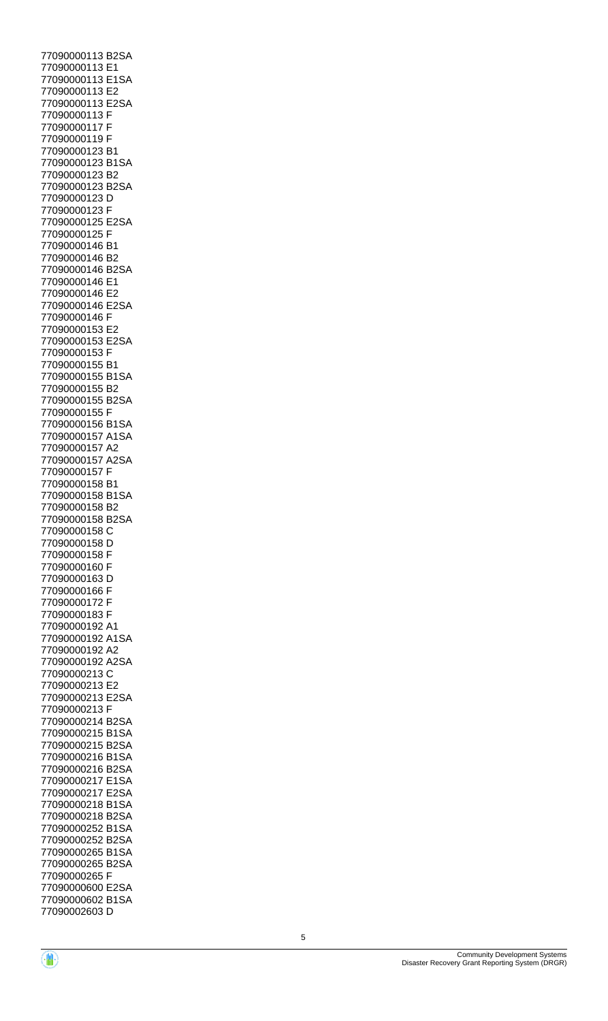77090000113 B2SA 77090000113 E1 77090000113 E1SA 77090000113 E2 77090000113 E2SA 77090000113 F 77090000117 F 77090000119 F 77090000123 B1 77090000123 B1SA 77090000123 B2 77090000123 B2SA 77090000123 D 77090000123 F 77090000125 E2SA 77090000125 F 77090000146 B1 77090000146 B2 77090000146 B2SA 77090000146 E1 77090000146 E2 77090000146 E2SA 77090000146 F 77090000153 E2 77090000153 E2SA 77090000153 F 77090000155 B1 77090000155 B1SA 77090000155 B2 77090000155 B2SA 77090000155 F 77090000156 B1SA 77090000157 A1SA 77090000157 A2 77090000157 A2SA 77090000157 F 77090000158 B1 77090000158 B1SA 77090000158 B2 77090000158 B2SA 77090000158 C 77090000158 D 77090000158 F 77090000160 F 77090000163 D 77090000166 F 77090000172 F 77090000183 F 77090000192 A1 77090000192 A1SA 77090000192 A2 77090000192 A2SA 77090000213 C 77090000213 E2 77090000213 E2SA 77090000213 F 77090000214 B2SA 77090000215 B1SA 77090000215 B2SA 77090000216 B1SA 77090000216 B2SA 77090000217 E1SA 77090000217 E2SA 77090000218 B1SA 77090000218 B2SA 77090000252 B1SA 77090000252 B2SA 77090000265 B1SA 77090000265 B2SA 77090000265 F 77090000600 E2SA 77090000602 B1SA 77090002603 D

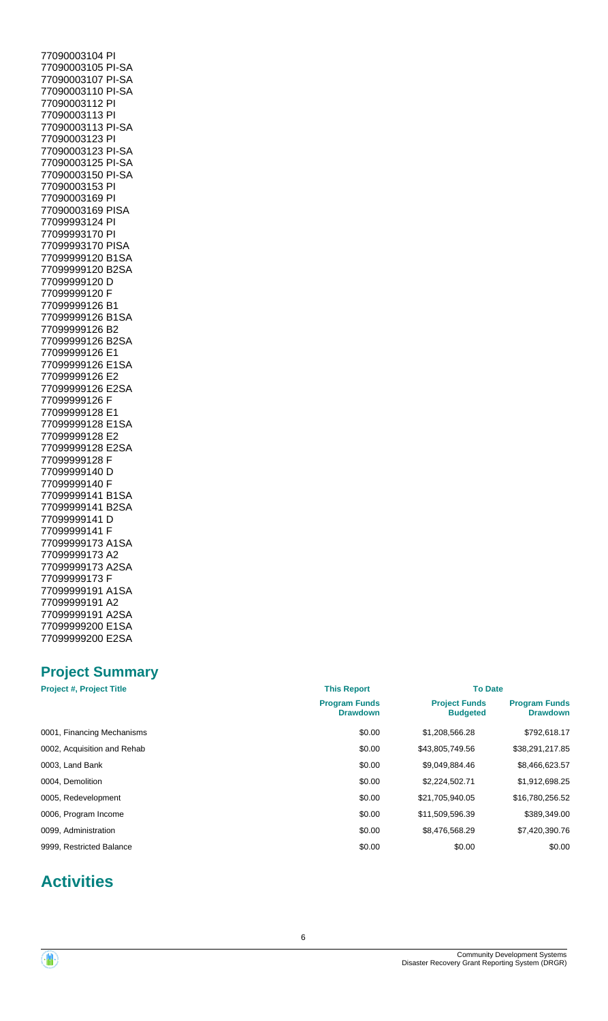77090003104 PI 77090003105 PI-SA 77090003107 PI-SA 77090003110 PI-SA 77090003112 PI 77090003113 PI 77090003113 PI-SA 77090003123 PI 77090003123 PI-SA 77090003125 PI-SA 77090003150 PI-SA 77090003153 PI 77090003169 PI 77090003169 PISA 77099993124 PI 77099993170 PI 77099993170 PISA 77099999120 B1SA 77099999120 B2SA 77099999120 D 77099999120 F 77099999126 B1 77099999126 B1SA 77099999126 B2 77099999126 B2SA 77099999126 E1 77099999126 E1SA 77099999126 E2 77099999126 E2SA 77099999126 F 77099999128 E1 77099999128 E1SA 77099999128 E2 77099999128 E2SA 77099999128 F 77099999140 D 77099999140 F 77099999141 B1SA 77099999141 B2SA 77099999141 D 77099999141 F 77099999173 A1SA 77099999173 A2 77099999173 A2SA 77099999173 F 77099999191 A1SA 77099999191 A2 77099999191 A2SA 77099999200 E1SA 77099999200 E2SA

# **Project Summary**

| <b>Project #, Project Title</b> | <b>This Report</b>                      | <b>To Date</b>                          |                                         |  |
|---------------------------------|-----------------------------------------|-----------------------------------------|-----------------------------------------|--|
|                                 | <b>Program Funds</b><br><b>Drawdown</b> | <b>Project Funds</b><br><b>Budgeted</b> | <b>Program Funds</b><br><b>Drawdown</b> |  |
| 0001, Financing Mechanisms      | \$0.00                                  | \$1,208,566.28                          | \$792,618.17                            |  |
| 0002, Acquisition and Rehab     | \$0.00                                  | \$43,805,749.56                         | \$38,291,217.85                         |  |
| 0003, Land Bank                 | \$0.00                                  | \$9.049.884.46                          | \$8,466,623.57                          |  |
| 0004. Demolition                | \$0.00                                  | \$2,224,502.71                          | \$1,912,698.25                          |  |
| 0005, Redevelopment             | \$0.00                                  | \$21,705,940.05                         | \$16,780,256.52                         |  |
| 0006, Program Income            | \$0.00                                  | \$11,509,596.39                         | \$389,349.00                            |  |
| 0099. Administration            | \$0.00                                  | \$8,476,568.29                          | \$7,420,390.76                          |  |
| 9999, Restricted Balance        | \$0.00                                  | \$0.00                                  | \$0.00                                  |  |

# **Activities**

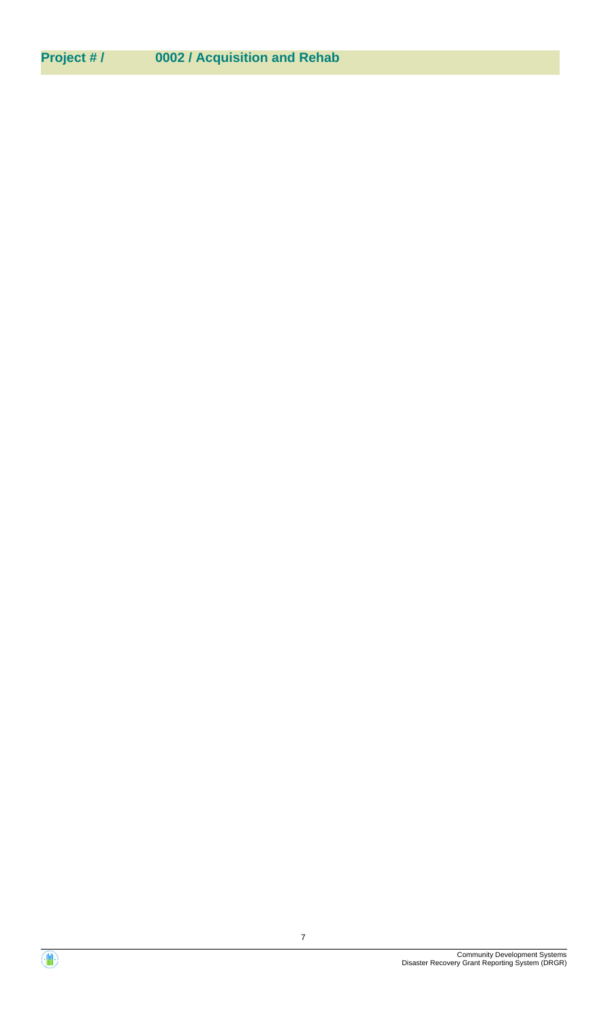# **Project # / 0002 / Acquisition and Rehab**

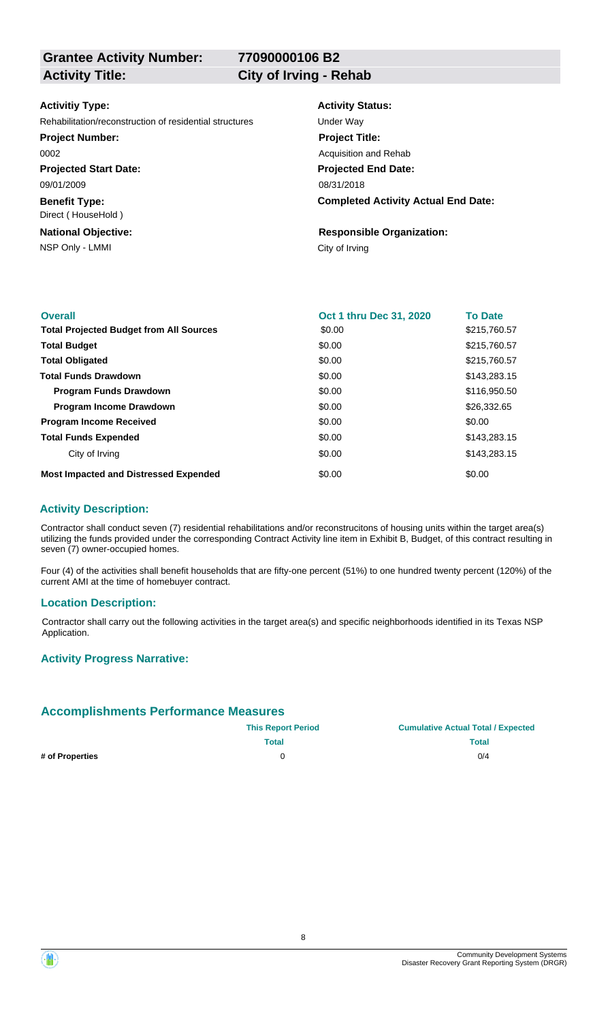**77090000106 B2**

#### **Activitiy Type:**

Rehabilitation/reconstruction of residential structures Under Way

**Project Number:**

0002

**Projected Start Date:** 09/01/2009

**Benefit Type:** Direct ( HouseHold )

NSP Only - LMMI City of Irving **National Objective:**

**Activity Status:**

**Projected End Date: Completed Activity Actual End Date:** 08/31/2018 **Project Title:** Acquisition and Rehab

**Responsible Organization:**

| <b>Overall</b>                                 | Oct 1 thru Dec 31, 2020 | <b>To Date</b> |
|------------------------------------------------|-------------------------|----------------|
| <b>Total Projected Budget from All Sources</b> | \$0.00                  | \$215,760.57   |
| <b>Total Budget</b>                            | \$0.00                  | \$215,760.57   |
| <b>Total Obligated</b>                         | \$0.00                  | \$215,760.57   |
| <b>Total Funds Drawdown</b>                    | \$0.00                  | \$143,283.15   |
| <b>Program Funds Drawdown</b>                  | \$0.00                  | \$116,950.50   |
| <b>Program Income Drawdown</b>                 | \$0.00                  | \$26,332.65    |
| <b>Program Income Received</b>                 | \$0.00                  | \$0.00         |
| <b>Total Funds Expended</b>                    | \$0.00                  | \$143,283.15   |
| City of Irving                                 | \$0.00                  | \$143,283.15   |
| <b>Most Impacted and Distressed Expended</b>   | \$0.00                  | \$0.00         |

#### **Activity Description:**

Contractor shall conduct seven (7) residential rehabilitations and/or reconstrucitons of housing units within the target area(s) utilizing the funds provided under the corresponding Contract Activity line item in Exhibit B, Budget, of this contract resulting in seven (7) owner-occupied homes.

Four (4) of the activities shall benefit households that are fifty-one percent (51%) to one hundred twenty percent (120%) of the current AMI at the time of homebuyer contract.

#### **Location Description:**

Contractor shall carry out the following activities in the target area(s) and specific neighborhoods identified in its Texas NSP Application.

#### **Activity Progress Narrative:**

#### **Accomplishments Performance Measures**

|                 | <b>This Report Period</b> | <b>Cumulative Actual Total / Expected</b> |
|-----------------|---------------------------|-------------------------------------------|
|                 | <b>Total</b>              | Total                                     |
| # of Properties |                           | 0/4                                       |



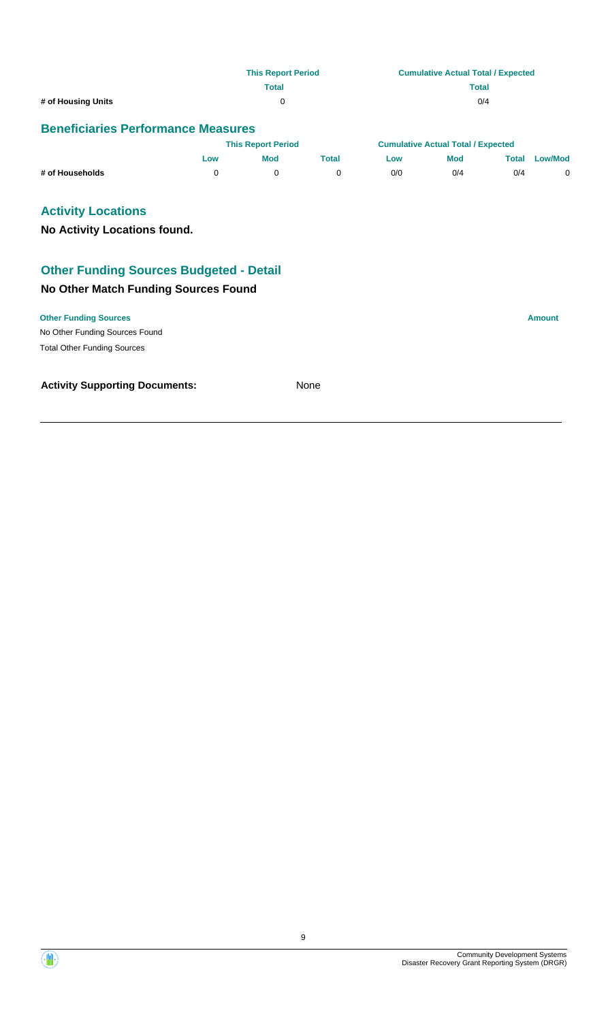|                    | <b>This Report Period</b> | <b>Cumulative Actual Total / Expected</b> |
|--------------------|---------------------------|-------------------------------------------|
|                    | <b>Total</b>              | <b>Total</b>                              |
| # of Housing Units | 0                         | 0/4                                       |

|                 |     | <b>This Report Period</b> |       |     | <b>Cumulative Actual Total / Expected</b> |       |                |
|-----------------|-----|---------------------------|-------|-----|-------------------------------------------|-------|----------------|
|                 | LOW | Mod                       | Total | Low | <b>Mod</b>                                | Total | <b>Low/Mod</b> |
| # of Households |     |                           |       | 0/0 | 0/4                                       | 0/4   |                |

# **Activity Locations**

**No Activity Locations found.**

# **Other Funding Sources Budgeted - Detail**

#### **No Other Match Funding Sources Found**

No Other Funding Sources Found **Other Funding Sources Amount** Total Other Funding Sources

#### **Activity Supporting Documents:** None

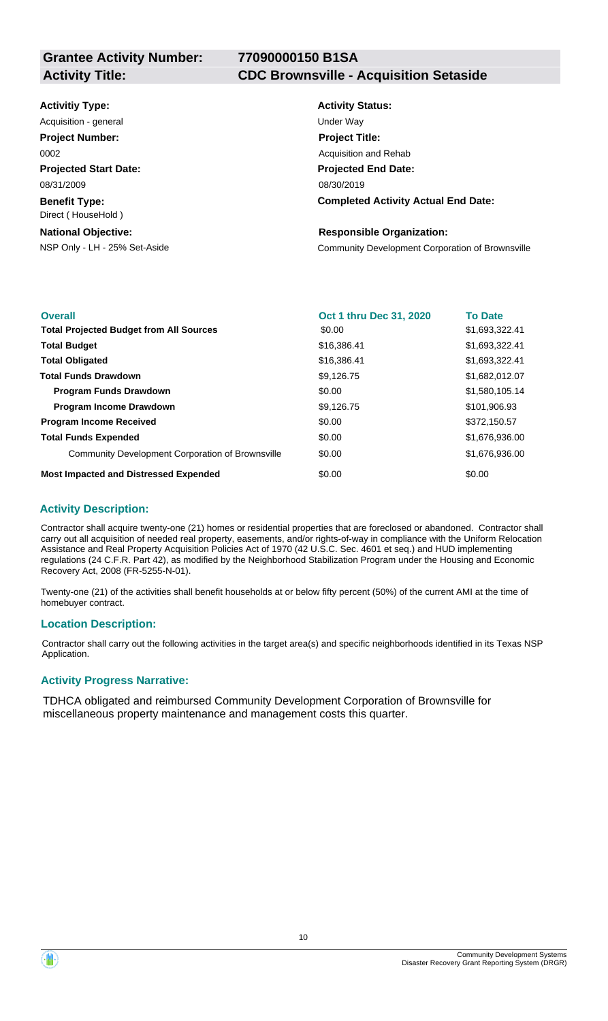**Activity Title: CDC Brownsville - Acquisition Setaside**

| <b>Activitiy Type:</b>                     | <b>Activity Status:</b>                          |
|--------------------------------------------|--------------------------------------------------|
| Acquisition - general                      | Under Way                                        |
| <b>Project Number:</b>                     | <b>Project Title:</b>                            |
| 0002                                       | Acquisition and Rehab                            |
| <b>Projected Start Date:</b>               | <b>Projected End Date:</b>                       |
| 08/31/2009                                 | 08/30/2019                                       |
| <b>Benefit Type:</b><br>Direct (HouseHold) | <b>Completed Activity Actual End Date:</b>       |
| <b>National Objective:</b>                 | <b>Responsible Organization:</b>                 |
| NSP Only - LH - 25% Set-Aside              | Community Development Corporation of Brownsville |

| <b>Overall</b>                                   | Oct 1 thru Dec 31, 2020 | <b>To Date</b> |
|--------------------------------------------------|-------------------------|----------------|
| <b>Total Projected Budget from All Sources</b>   | \$0.00                  | \$1,693,322.41 |
| <b>Total Budget</b>                              | \$16,386.41             | \$1,693,322.41 |
| <b>Total Obligated</b>                           | \$16,386.41             | \$1,693,322.41 |
| <b>Total Funds Drawdown</b>                      | \$9,126.75              | \$1,682,012.07 |
| <b>Program Funds Drawdown</b>                    | \$0.00                  | \$1,580,105.14 |
| <b>Program Income Drawdown</b>                   | \$9,126.75              | \$101,906.93   |
| <b>Program Income Received</b>                   | \$0.00                  | \$372,150.57   |
| <b>Total Funds Expended</b>                      | \$0.00                  | \$1,676,936.00 |
| Community Development Corporation of Brownsville | \$0.00                  | \$1,676,936.00 |
| <b>Most Impacted and Distressed Expended</b>     | \$0.00                  | \$0.00         |

#### **Activity Description:**

Contractor shall acquire twenty-one (21) homes or residential properties that are foreclosed or abandoned. Contractor shall carry out all acquisition of needed real property, easements, and/or rights-of-way in compliance with the Uniform Relocation Assistance and Real Property Acquisition Policies Act of 1970 (42 U.S.C. Sec. 4601 et seq.) and HUD implementing regulations (24 C.F.R. Part 42), as modified by the Neighborhood Stabilization Program under the Housing and Economic Recovery Act, 2008 (FR-5255-N-01).

Twenty-one (21) of the activities shall benefit households at or below fifty percent (50%) of the current AMI at the time of homebuyer contract.

#### **Location Description:**

Contractor shall carry out the following activities in the target area(s) and specific neighborhoods identified in its Texas NSP Application.

#### **Activity Progress Narrative:**

TDHCA obligated and reimbursed Community Development Corporation of Brownsville for miscellaneous property maintenance and management costs this quarter.

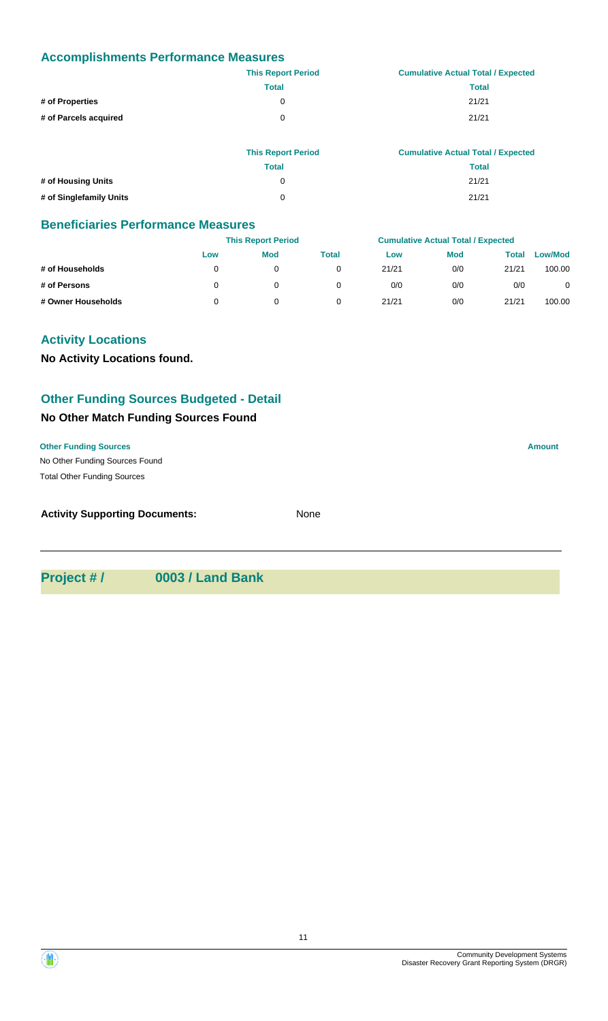## **Accomplishments Performance Measures**

|                       | <b>This Report Period</b> | <b>Cumulative Actual Total / Expected</b> |
|-----------------------|---------------------------|-------------------------------------------|
|                       | <b>Total</b>              | <b>Total</b>                              |
| # of Properties       | $\Omega$                  | 21/21                                     |
| # of Parcels acquired | $\Omega$                  | 21/21                                     |
|                       |                           |                                           |
|                       |                           |                                           |

|                         | <b>This Report Period</b> | <b>Cumulative Actual Total / Expected</b> |
|-------------------------|---------------------------|-------------------------------------------|
|                         | Total                     | Total                                     |
| # of Housing Units      | O                         | 21/21                                     |
| # of Singlefamily Units | 0                         | 21/21                                     |

#### **Beneficiaries Performance Measures**

|                    |     | <b>This Report Period</b> |       |       | <b>Cumulative Actual Total / Expected</b> |       |                |
|--------------------|-----|---------------------------|-------|-------|-------------------------------------------|-------|----------------|
|                    | Low | <b>Mod</b>                | Total | Low   | <b>Mod</b>                                | Total | <b>Low/Mod</b> |
| # of Households    |     |                           |       | 21/21 | 0/0                                       | 21/21 | 100.00         |
| # of Persons       |     |                           |       | 0/0   | 0/0                                       | 0/0   | 0              |
| # Owner Households |     |                           |       | 21/21 | 0/0                                       | 21/21 | 100.00         |

# **Activity Locations**

**No Activity Locations found.**

# **Other Funding Sources Budgeted - Detail**

# **No Other Match Funding Sources Found**

#### **Other Funding Sources Amount**

No Other Funding Sources Found Total Other Funding Sources

| <b>Activity Supporting Documents:</b> | None |
|---------------------------------------|------|
|                                       |      |

**Project # / 0003 / Land Bank**

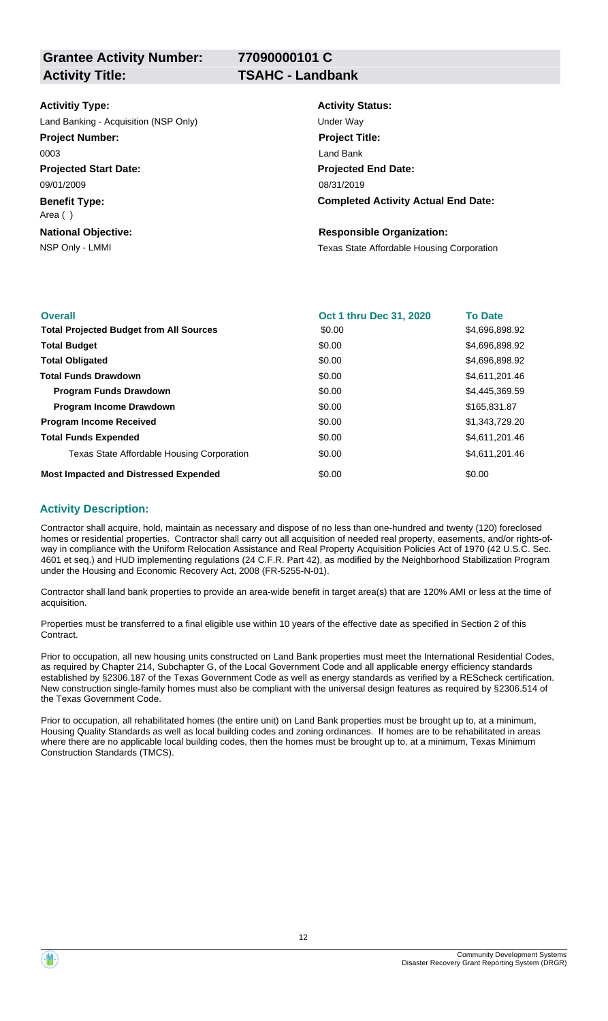**77090000101 C**

| <b>Activitiy Type:</b>                | <b>Activity Status:</b>                           |
|---------------------------------------|---------------------------------------------------|
| Land Banking - Acquisition (NSP Only) | Under Way                                         |
| <b>Project Number:</b>                | <b>Project Title:</b>                             |
| 0003                                  | Land Bank                                         |
| <b>Projected Start Date:</b>          | <b>Projected End Date:</b>                        |
| 09/01/2009                            | 08/31/2019                                        |
| <b>Benefit Type:</b><br>Area ()       | <b>Completed Activity Actual End Date:</b>        |
| <b>National Objective:</b>            | <b>Responsible Organization:</b>                  |
| NSP Only - LMMI                       | <b>Texas State Affordable Housing Corporation</b> |
|                                       |                                                   |

| <b>Overall</b>                                 | Oct 1 thru Dec 31, 2020 | <b>To Date</b> |
|------------------------------------------------|-------------------------|----------------|
| <b>Total Projected Budget from All Sources</b> | \$0.00                  | \$4,696,898.92 |
| <b>Total Budget</b>                            | \$0.00                  | \$4,696,898.92 |
| <b>Total Obligated</b>                         | \$0.00                  | \$4,696,898.92 |
| <b>Total Funds Drawdown</b>                    | \$0.00                  | \$4,611,201.46 |
| <b>Program Funds Drawdown</b>                  | \$0.00                  | \$4,445,369.59 |
| <b>Program Income Drawdown</b>                 | \$0.00                  | \$165,831.87   |
| <b>Program Income Received</b>                 | \$0.00                  | \$1,343,729.20 |
| <b>Total Funds Expended</b>                    | \$0.00                  | \$4,611,201.46 |
| Texas State Affordable Housing Corporation     | \$0.00                  | \$4,611,201.46 |
| <b>Most Impacted and Distressed Expended</b>   | \$0.00                  | \$0.00         |

#### **Activity Description:**

Contractor shall acquire, hold, maintain as necessary and dispose of no less than one-hundred and twenty (120) foreclosed homes or residential properties. Contractor shall carry out all acquisition of needed real property, easements, and/or rights-ofway in compliance with the Uniform Relocation Assistance and Real Property Acquisition Policies Act of 1970 (42 U.S.C. Sec. 4601 et seq.) and HUD implementing regulations (24 C.F.R. Part 42), as modified by the Neighborhood Stabilization Program under the Housing and Economic Recovery Act, 2008 (FR-5255-N-01).

Contractor shall land bank properties to provide an area-wide benefit in target area(s) that are 120% AMI or less at the time of acquisition.

Properties must be transferred to a final eligible use within 10 years of the effective date as specified in Section 2 of this Contract.

Prior to occupation, all new housing units constructed on Land Bank properties must meet the International Residential Codes, as required by Chapter 214, Subchapter G, of the Local Government Code and all applicable energy efficiency standards established by §2306.187 of the Texas Government Code as well as energy standards as verified by a REScheck certification. New construction single-family homes must also be compliant with the universal design features as required by §2306.514 of the Texas Government Code.

Prior to occupation, all rehabilitated homes (the entire unit) on Land Bank properties must be brought up to, at a minimum, Housing Quality Standards as well as local building codes and zoning ordinances. If homes are to be rehabilitated in areas where there are no applicable local building codes, then the homes must be brought up to, at a minimum, Texas Minimum Construction Standards (TMCS).

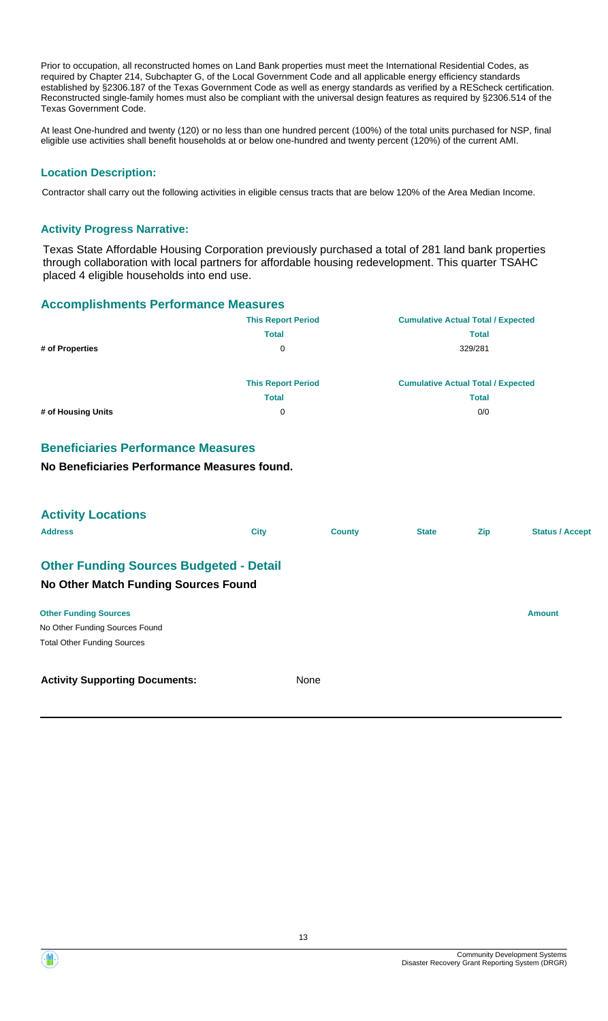Prior to occupation, all reconstructed homes on Land Bank properties must meet the International Residential Codes, as required by Chapter 214, Subchapter G, of the Local Government Code and all applicable energy efficiency standards established by §2306.187 of the Texas Government Code as well as energy standards as verified by a REScheck certification. Reconstructed single-family homes must also be compliant with the universal design features as required by §2306.514 of the Texas Government Code.

At least One-hundred and twenty (120) or no less than one hundred percent (100%) of the total units purchased for NSP, final eligible use activities shall benefit households at or below one-hundred and twenty percent (120%) of the current AMI.

## **Location Description:**

Contractor shall carry out the following activities in eligible census tracts that are below 120% of the Area Median Income.

#### **Activity Progress Narrative:**

Texas State Affordable Housing Corporation previously purchased a total of 281 land bank properties through collaboration with local partners for affordable housing redevelopment. This quarter TSAHC placed 4 eligible households into end use.

#### **Accomplishments Performance Measures**

|                    | <b>This Report Period</b> | <b>Cumulative Actual Total / Expected</b> |
|--------------------|---------------------------|-------------------------------------------|
|                    | <b>Total</b>              | <b>Total</b>                              |
| # of Properties    | 0                         | 329/281                                   |
|                    |                           |                                           |
|                    | <b>This Report Period</b> | <b>Cumulative Actual Total / Expected</b> |
|                    | <b>Total</b>              | <b>Total</b>                              |
| # of Housing Units | 0                         | 0/0                                       |

# **Beneficiaries Performance Measures**

**No Beneficiaries Performance Measures found.**

| <b>Activity Locations</b>                      |             |               |              |            |                        |
|------------------------------------------------|-------------|---------------|--------------|------------|------------------------|
| <b>Address</b>                                 | <b>City</b> | <b>County</b> | <b>State</b> | <b>Zip</b> | <b>Status / Accept</b> |
| <b>Other Funding Sources Budgeted - Detail</b> |             |               |              |            |                        |
| No Other Match Funding Sources Found           |             |               |              |            |                        |
| <b>Other Funding Sources</b>                   |             |               |              |            | <b>Amount</b>          |
| No Other Funding Sources Found                 |             |               |              |            |                        |
| <b>Total Other Funding Sources</b>             |             |               |              |            |                        |
| <b>Activity Supporting Documents:</b>          | None        |               |              |            |                        |

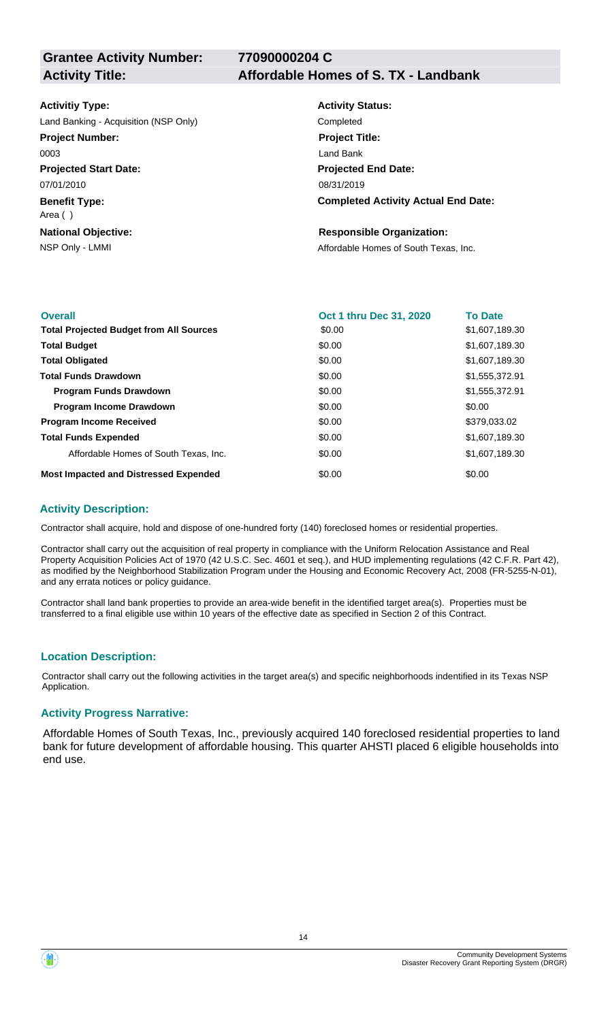**77090000204 C**

#### **Activitiy Type:**

Land Banking - Acquisition (NSP Only) Completed **Project Number:**

0003

**Projected Start Date:** 07/01/2010

**Benefit Type:**

Area ( )

**National Objective:**

#### **Activity Title: Affordable Homes of S. TX - Landbank**

**Activity Status: Projected End Date: Completed Activity Actual End Date:** 08/31/2019 **Project Title:** Land Bank

#### **Responsible Organization:**

NSP Only - LMMI **NSP Only - LMMI** Affordable Homes of South Texas, Inc.

| <b>Overall</b>                                 | Oct 1 thru Dec 31, 2020 | <b>To Date</b> |
|------------------------------------------------|-------------------------|----------------|
| <b>Total Projected Budget from All Sources</b> | \$0.00                  | \$1,607,189.30 |
| <b>Total Budget</b>                            | \$0.00                  | \$1,607,189.30 |
| <b>Total Obligated</b>                         | \$0.00                  | \$1,607,189.30 |
| <b>Total Funds Drawdown</b>                    | \$0.00                  | \$1,555,372.91 |
| <b>Program Funds Drawdown</b>                  | \$0.00                  | \$1,555,372.91 |
| <b>Program Income Drawdown</b>                 | \$0.00                  | \$0.00         |
| <b>Program Income Received</b>                 | \$0.00                  | \$379,033.02   |
| <b>Total Funds Expended</b>                    | \$0.00                  | \$1,607,189.30 |
| Affordable Homes of South Texas, Inc.          | \$0.00                  | \$1,607,189.30 |
| <b>Most Impacted and Distressed Expended</b>   | \$0.00                  | \$0.00         |

#### **Activity Description:**

Contractor shall acquire, hold and dispose of one-hundred forty (140) foreclosed homes or residential properties.

Contractor shall carry out the acquisition of real property in compliance with the Uniform Relocation Assistance and Real Property Acquisition Policies Act of 1970 (42 U.S.C. Sec. 4601 et seq.), and HUD implementing regulations (42 C.F.R. Part 42), as modified by the Neighborhood Stabilization Program under the Housing and Economic Recovery Act, 2008 (FR-5255-N-01), and any errata notices or policy guidance.

Contractor shall land bank properties to provide an area-wide benefit in the identified target area(s). Properties must be transferred to a final eligible use within 10 years of the effective date as specified in Section 2 of this Contract.

# **Location Description:**

Contractor shall carry out the following activities in the target area(s) and specific neighborhoods indentified in its Texas NSP Application.

#### **Activity Progress Narrative:**

Affordable Homes of South Texas, Inc., previously acquired 140 foreclosed residential properties to land bank for future development of affordable housing. This quarter AHSTI placed 6 eligible households into end use.

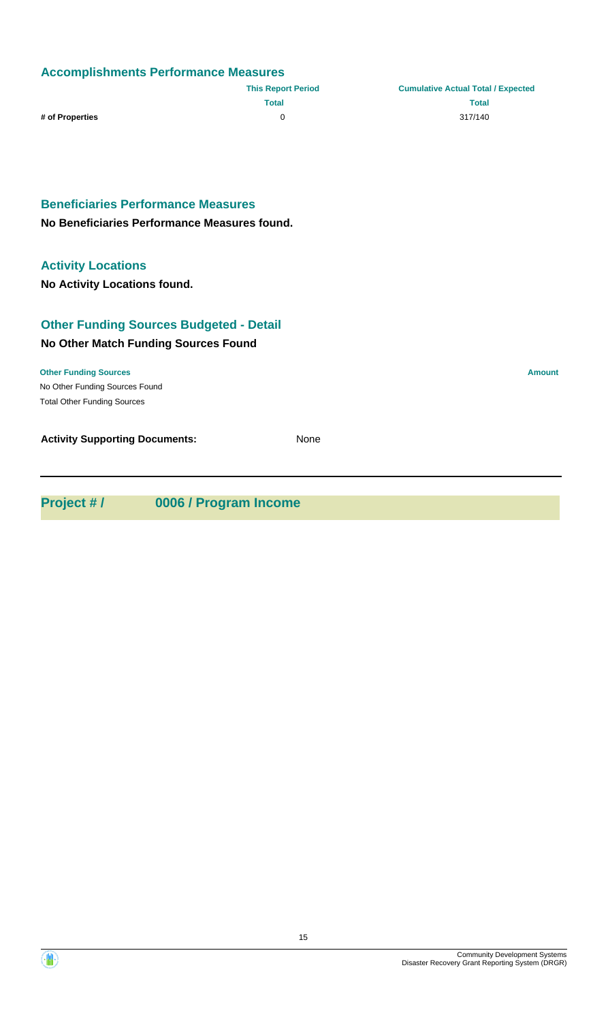# **Accomplishments Performance Measures**

|                 | <b>This Report Period</b> | <b>Cumulative Actual Total / Expected</b> |
|-----------------|---------------------------|-------------------------------------------|
|                 | Total                     | Total                                     |
| # of Properties |                           | 317/140                                   |

**Beneficiaries Performance Measures**

**No Beneficiaries Performance Measures found.**

# **Activity Locations**

**No Activity Locations found.**

# **No Other Match Funding Sources Found Other Funding Sources Budgeted - Detail**

No Other Funding Sources Found **Other Funding Sources Amount Amount Amount Amount Amount Amount Amount** Total Other Funding Sources

**Activity Supporting Documents:** None

**Project # / 0006 / Program Income**

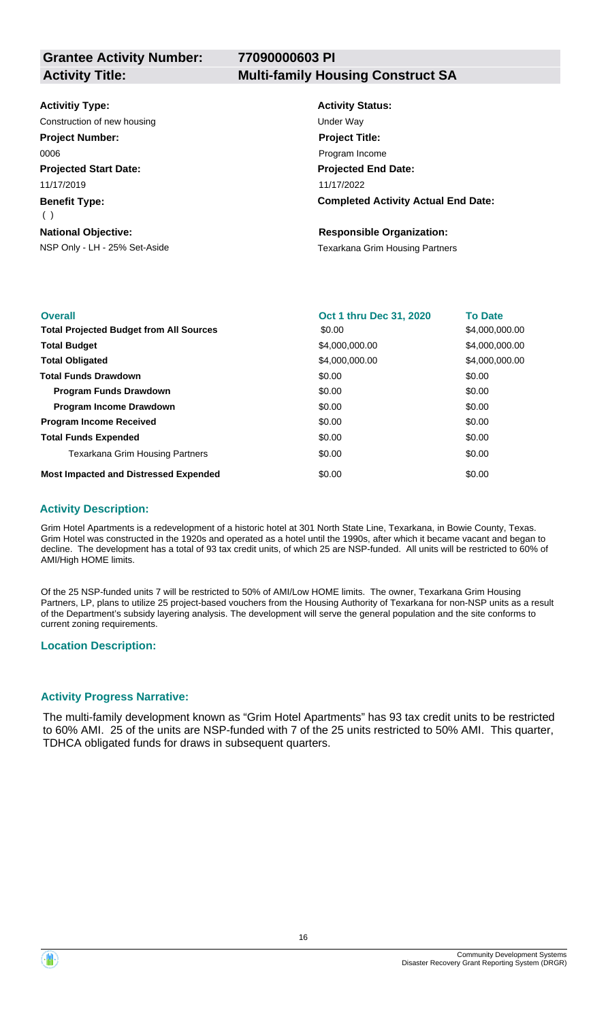**77090000603 PI**

# **Activity Title: Multi-family Housing Construct SA**

| <b>Activitiy Type:</b>        | <b>Activity Status:</b>                    |
|-------------------------------|--------------------------------------------|
| Construction of new housing   | Under Way                                  |
| <b>Project Number:</b>        | <b>Project Title:</b>                      |
| 0006                          | Program Income                             |
| <b>Projected Start Date:</b>  | <b>Projected End Date:</b>                 |
| 11/17/2019                    | 11/17/2022                                 |
| <b>Benefit Type:</b><br>( )   | <b>Completed Activity Actual End Date:</b> |
| <b>National Objective:</b>    | <b>Responsible Organization:</b>           |
| NSP Only - LH - 25% Set-Aside | Texarkana Grim Housing Partners            |

| <b>Overall</b>                                 | Oct 1 thru Dec 31, 2020 | <b>To Date</b> |
|------------------------------------------------|-------------------------|----------------|
| <b>Total Projected Budget from All Sources</b> | \$0.00                  | \$4,000,000.00 |
| <b>Total Budget</b>                            | \$4,000,000.00          | \$4,000,000.00 |
| <b>Total Obligated</b>                         | \$4,000,000.00          | \$4,000,000.00 |
| <b>Total Funds Drawdown</b>                    | \$0.00                  | \$0.00         |
| <b>Program Funds Drawdown</b>                  | \$0.00                  | \$0.00         |
| <b>Program Income Drawdown</b>                 | \$0.00                  | \$0.00         |
| <b>Program Income Received</b>                 | \$0.00                  | \$0.00         |
| <b>Total Funds Expended</b>                    | \$0.00                  | \$0.00         |
| Texarkana Grim Housing Partners                | \$0.00                  | \$0.00         |
| <b>Most Impacted and Distressed Expended</b>   | \$0.00                  | \$0.00         |

#### **Activity Description:**

Grim Hotel Apartments is a redevelopment of a historic hotel at 301 North State Line, Texarkana, in Bowie County, Texas. Grim Hotel was constructed in the 1920s and operated as a hotel until the 1990s, after which it became vacant and began to decline. The development has a total of 93 tax credit units, of which 25 are NSP-funded. All units will be restricted to 60% of AMI/High HOME limits.

Of the 25 NSP-funded units 7 will be restricted to 50% of AMI/Low HOME limits. The owner, Texarkana Grim Housing Partners, LP, plans to utilize 25 project-based vouchers from the Housing Authority of Texarkana for non-NSP units as a result of the Department's subsidy layering analysis. The development will serve the general population and the site conforms to current zoning requirements.

#### **Location Description:**

#### **Activity Progress Narrative:**

The multi-family development known as "Grim Hotel Apartments" has 93 tax credit units to be restricted to 60% AMI. 25 of the units are NSP-funded with 7 of the 25 units restricted to 50% AMI. This quarter, TDHCA obligated funds for draws in subsequent quarters.



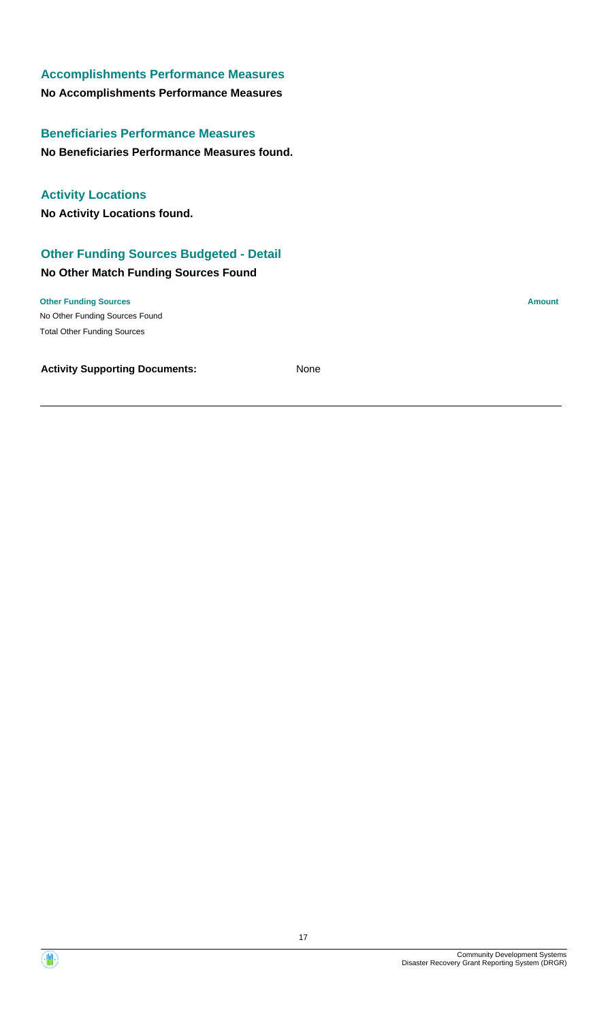# **Accomplishments Performance Measures**

# **No Accomplishments Performance Measures**

# **Beneficiaries Performance Measures**

# **No Beneficiaries Performance Measures found.**

# **Activity Locations**

**No Activity Locations found.**

# **Other Funding Sources Budgeted - Detail**

# **No Other Match Funding Sources Found**

#### **Other Funding Sources Amount**

No Other Funding Sources Found Total Other Funding Sources

**Activity Supporting Documents:** None



17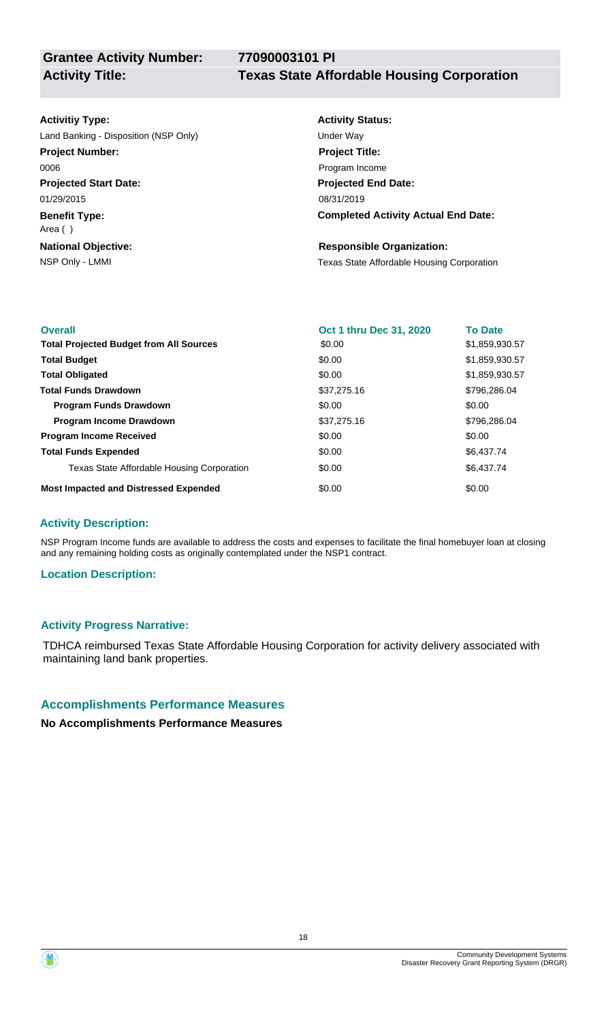**77090003101 PI**

**Grantee Activity Number:**

## **Activitiy Type:**

**Projected Start Date: Benefit Type: National Objective:** 01/29/2015 Area ( ) Land Banking - Disposition (NSP Only) Under Way **Project Number:** 0006

# **Activity Status: Projected End Date: Completed Activity Actual End Date:** 08/31/2019 **Project Title:** Program Income

#### **Responsible Organization:**

NSP Only - LMMI **NSP Only - LMMI** Texas State Affordable Housing Corporation

| <b>Overall</b>                                 | <b>Oct 1 thru Dec 31, 2020</b> | <b>To Date</b> |
|------------------------------------------------|--------------------------------|----------------|
| <b>Total Projected Budget from All Sources</b> | \$0.00                         | \$1,859,930.57 |
| <b>Total Budget</b>                            | \$0.00                         | \$1,859,930.57 |
| <b>Total Obligated</b>                         | \$0.00                         | \$1,859,930.57 |
| <b>Total Funds Drawdown</b>                    | \$37,275.16                    | \$796,286,04   |
| <b>Program Funds Drawdown</b>                  | \$0.00                         | \$0.00         |
| <b>Program Income Drawdown</b>                 | \$37,275.16                    | \$796,286,04   |
| <b>Program Income Received</b>                 | \$0.00                         | \$0.00         |
| <b>Total Funds Expended</b>                    | \$0.00                         | \$6,437.74     |
| Texas State Affordable Housing Corporation     | \$0.00                         | \$6,437.74     |
| <b>Most Impacted and Distressed Expended</b>   | \$0.00                         | \$0.00         |

# **Activity Description:**

NSP Program Income funds are available to address the costs and expenses to facilitate the final homebuyer loan at closing and any remaining holding costs as originally contemplated under the NSP1 contract.

# **Location Description:**

# **Activity Progress Narrative:**

TDHCA reimbursed Texas State Affordable Housing Corporation for activity delivery associated with maintaining land bank properties.

# **Accomplishments Performance Measures**

**No Accomplishments Performance Measures**

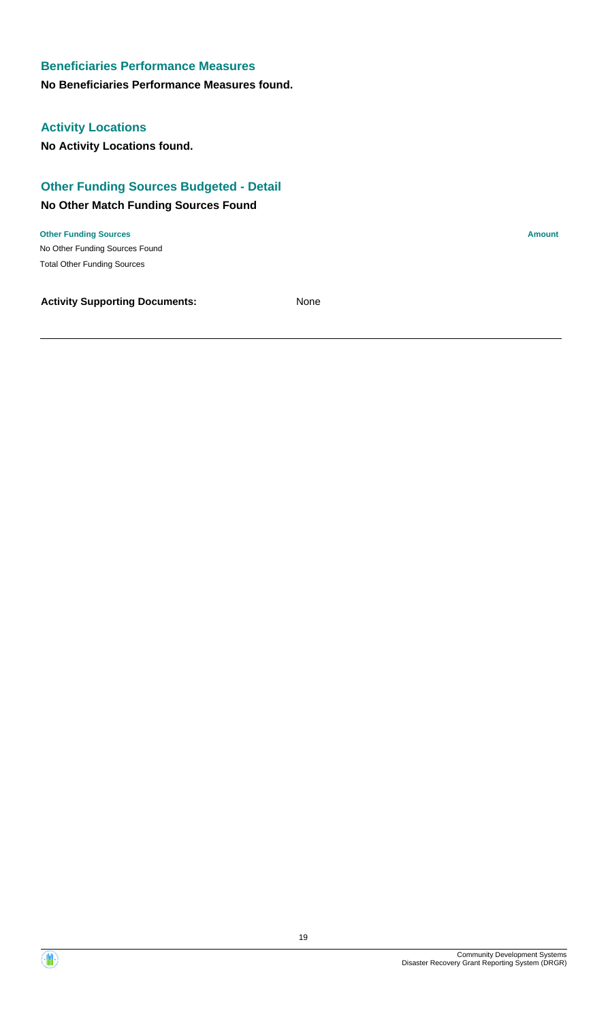**No Beneficiaries Performance Measures found.**

# **Activity Locations**

**No Activity Locations found.**

# **Other Funding Sources Budgeted - Detail**

## **No Other Match Funding Sources Found**

No Other Funding Sources Found **Other Funding Sources Amount Amount Amount Amount Amount Amount Amount** Total Other Funding Sources

**Activity Supporting Documents:** None

Community Development Systems

Disaster Recovery Grant Reporting System (DRGR)

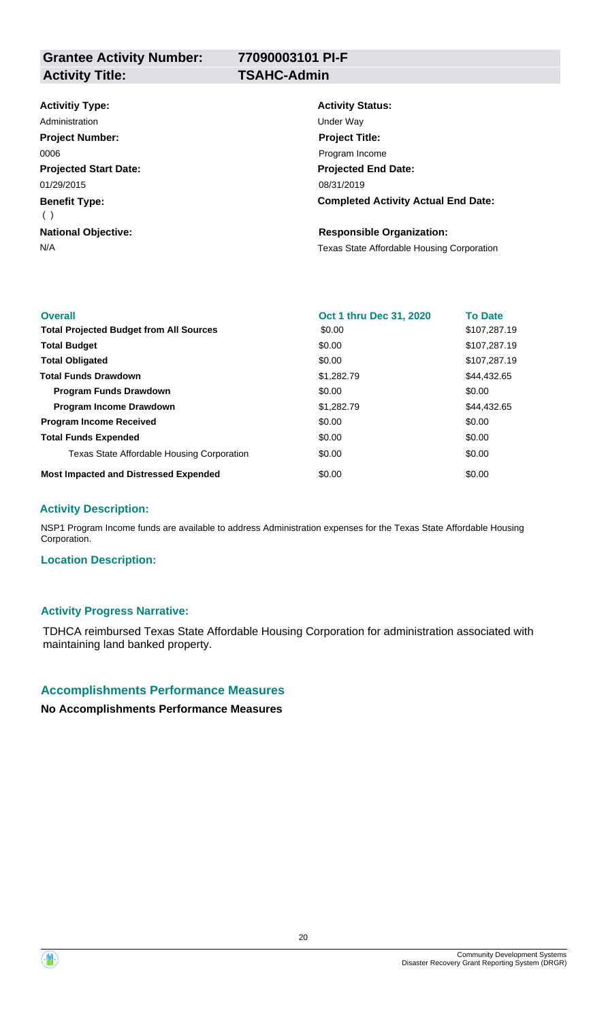**Grantee Activity Number: Activity Title: TSAHC-Admin**

**77090003101 PI-F**

# **Activitiy Type:**

**Projected Start Date: Benefit Type: National Objective:** 01/29/2015 ( ) Administration **National Contract Contract Contract Contract Contract Contract Contract Contract Contract Contract Contract Contract Contract Contract Contract Contract Contract Contract Contract Contract Contract Contract Project Number:** 0006

# **Activity Status: Projected End Date: Completed Activity Actual End Date:** 08/31/2019 **Project Title:** Program Income

#### **Responsible Organization:**

N/A Texas State Affordable Housing Corporation

| <b>Overall</b>                                 | Oct 1 thru Dec 31, 2020 | <b>To Date</b> |
|------------------------------------------------|-------------------------|----------------|
| <b>Total Projected Budget from All Sources</b> | \$0.00                  | \$107,287.19   |
| <b>Total Budget</b>                            | \$0.00                  | \$107,287.19   |
| <b>Total Obligated</b>                         | \$0.00                  | \$107,287.19   |
| <b>Total Funds Drawdown</b>                    | \$1,282.79              | \$44,432.65    |
| <b>Program Funds Drawdown</b>                  | \$0.00                  | \$0.00         |
| <b>Program Income Drawdown</b>                 | \$1,282.79              | \$44,432.65    |
| <b>Program Income Received</b>                 | \$0.00                  | \$0.00         |
| <b>Total Funds Expended</b>                    | \$0.00                  | \$0.00         |
| Texas State Affordable Housing Corporation     | \$0.00                  | \$0.00         |
| <b>Most Impacted and Distressed Expended</b>   | \$0.00                  | \$0.00         |

#### **Activity Description:**

NSP1 Program Income funds are available to address Administration expenses for the Texas State Affordable Housing Corporation.

#### **Location Description:**

#### **Activity Progress Narrative:**

TDHCA reimbursed Texas State Affordable Housing Corporation for administration associated with maintaining land banked property.

#### **Accomplishments Performance Measures**

**No Accomplishments Performance Measures**



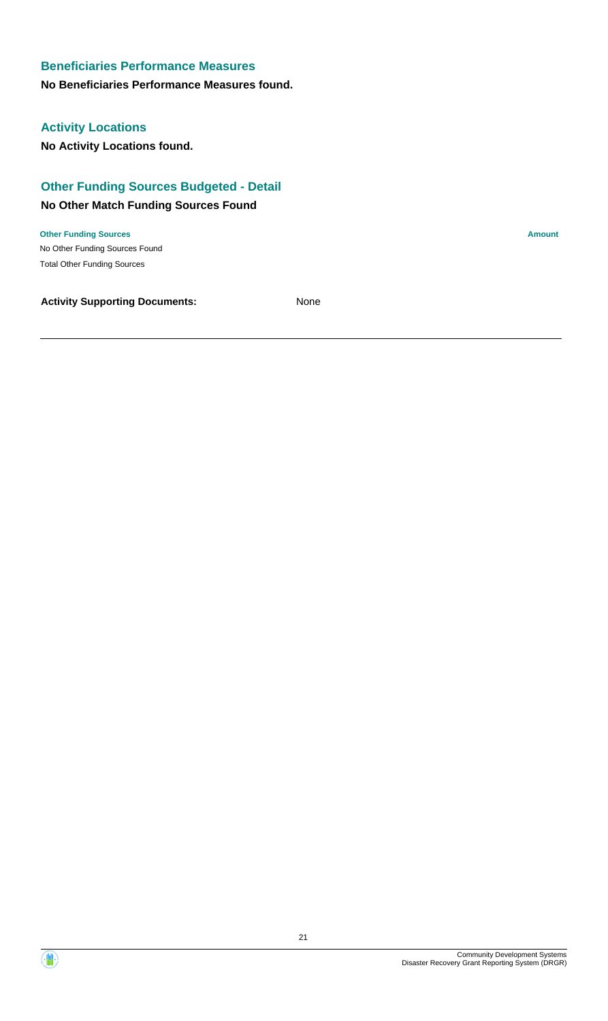**No Beneficiaries Performance Measures found.**

# **Activity Locations**

**No Activity Locations found.**

# **Other Funding Sources Budgeted - Detail**

## **No Other Match Funding Sources Found**

No Other Funding Sources Found **Other Funding Sources Amount Amount Amount Amount Amount Amount Amount** Total Other Funding Sources

**Activity Supporting Documents:** None

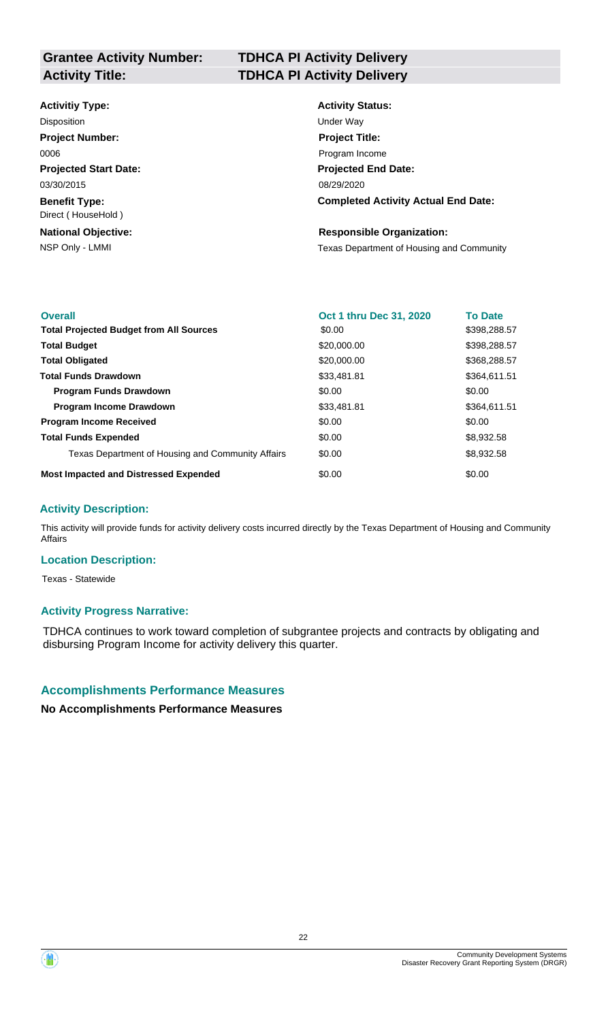# **Grantee Activity Number:**

# **TDHCA PI Activity Delivery Activity Title: TDHCA PI Activity Delivery**

#### **Activitiy Type:**

**Projected Start Date: Benefit Type:** 03/30/2015 Direct ( HouseHold ) Disposition **Disposition** Under Way **Project Number:** 0006

**National Objective:**

# **Activity Status: Projected End Date: Completed Activity Actual End Date:** 08/29/2020 **Project Title:** Program Income

#### **Responsible Organization:**

NSP Only - LMMI **NATE Only - LMMI** Texas Department of Housing and Community

| <b>Overall</b>                                    | Oct 1 thru Dec 31, 2020 | <b>To Date</b> |
|---------------------------------------------------|-------------------------|----------------|
| <b>Total Projected Budget from All Sources</b>    | \$0.00                  | \$398,288.57   |
| <b>Total Budget</b>                               | \$20,000.00             | \$398,288.57   |
| <b>Total Obligated</b>                            | \$20,000.00             | \$368,288.57   |
| <b>Total Funds Drawdown</b>                       | \$33,481.81             | \$364,611.51   |
| <b>Program Funds Drawdown</b>                     | \$0.00                  | \$0.00         |
| <b>Program Income Drawdown</b>                    | \$33,481.81             | \$364,611.51   |
| <b>Program Income Received</b>                    | \$0.00                  | \$0.00         |
| <b>Total Funds Expended</b>                       | \$0.00                  | \$8,932.58     |
| Texas Department of Housing and Community Affairs | \$0.00                  | \$8,932.58     |
| <b>Most Impacted and Distressed Expended</b>      | \$0.00                  | \$0.00         |

# **Activity Description:**

This activity will provide funds for activity delivery costs incurred directly by the Texas Department of Housing and Community Affairs

#### **Location Description:**

Texas - Statewide

# **Activity Progress Narrative:**

TDHCA continues to work toward completion of subgrantee projects and contracts by obligating and disbursing Program Income for activity delivery this quarter.

# **Accomplishments Performance Measures**

**No Accomplishments Performance Measures**

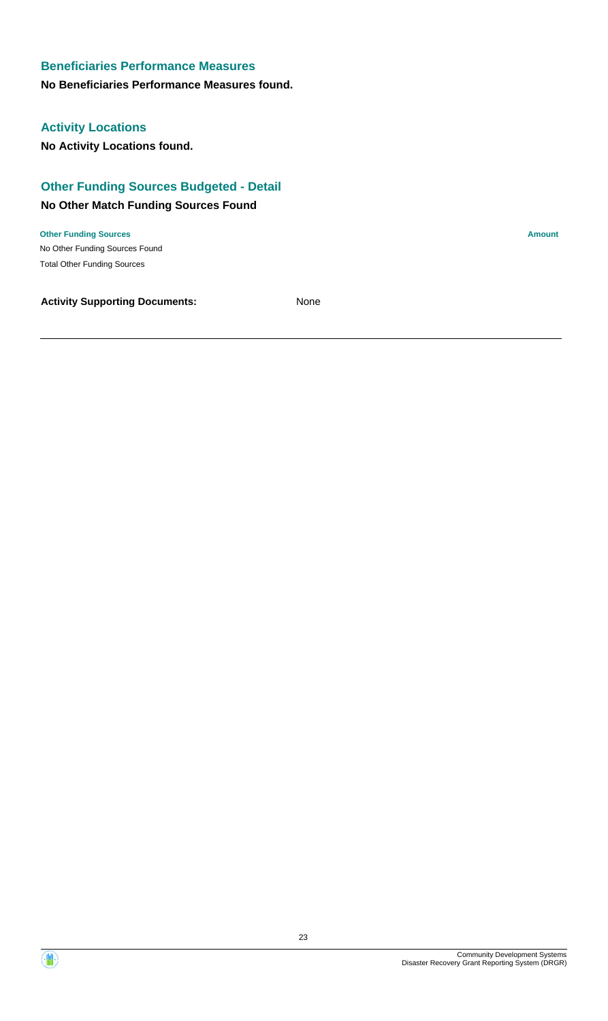### **No Beneficiaries Performance Measures found.**

# **Activity Locations**

**No Activity Locations found.**

# **Other Funding Sources Budgeted - Detail**

# **No Other Match Funding Sources Found**

No Other Funding Sources Found **Other Funding Sources Amount Amount Amount Amount Amount Amount Amount** Total Other Funding Sources

**Activity Supporting Documents:** None

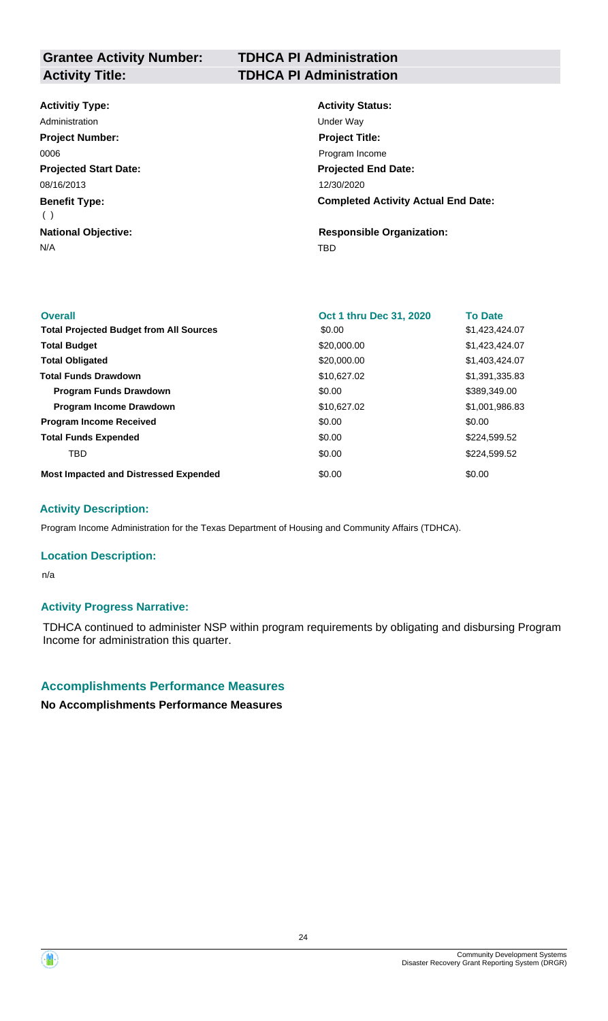# **Grantee Activity Number:**

# **TDHCA PI Administration Activity Title: TDHCA PI Administration**

# **Activitiy Type:**

**Projected Start Date: Benefit Type:** N/A TBD **National Objective:** 08/16/2013 ( ) Administration **Under Way Project Number:** 0006

# **Activity Status: Projected End Date: Completed Activity Actual End Date:** 12/30/2020 **Project Title:** Program Income

**Responsible Organization:**

| <b>Overall</b>                                 | Oct 1 thru Dec 31, 2020 | <b>To Date</b> |
|------------------------------------------------|-------------------------|----------------|
| <b>Total Projected Budget from All Sources</b> | \$0.00                  | \$1,423,424.07 |
| <b>Total Budget</b>                            | \$20,000.00             | \$1,423,424.07 |
| <b>Total Obligated</b>                         | \$20,000.00             | \$1,403,424.07 |
| <b>Total Funds Drawdown</b>                    | \$10,627.02             | \$1,391,335.83 |
| <b>Program Funds Drawdown</b>                  | \$0.00                  | \$389,349.00   |
| <b>Program Income Drawdown</b>                 | \$10,627.02             | \$1,001,986.83 |
| <b>Program Income Received</b>                 | \$0.00                  | \$0.00         |
| <b>Total Funds Expended</b>                    | \$0.00                  | \$224,599.52   |
| TBD.                                           | \$0.00                  | \$224,599.52   |
| <b>Most Impacted and Distressed Expended</b>   | \$0.00                  | \$0.00         |

#### **Activity Description:**

Program Income Administration for the Texas Department of Housing and Community Affairs (TDHCA).

#### **Location Description:**

n/a

#### **Activity Progress Narrative:**

TDHCA continued to administer NSP within program requirements by obligating and disbursing Program Income for administration this quarter.

#### **Accomplishments Performance Measures**

**No Accomplishments Performance Measures**